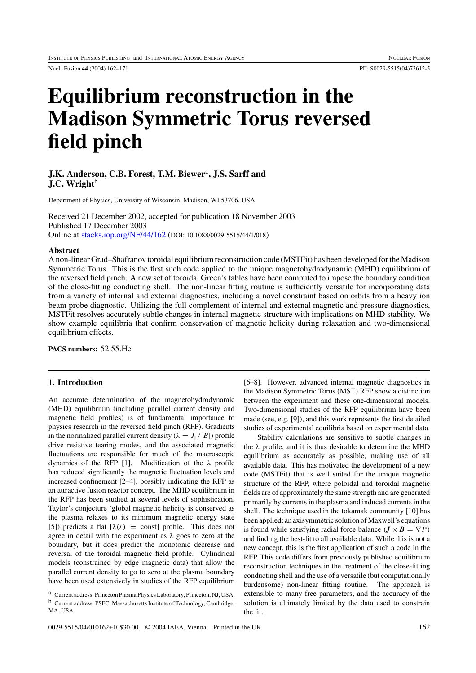Nucl. Fusion **44** (2004) 162–171 PII: S0029-5515(04)72612-5

# **Equilibrium reconstruction in the Madison Symmetric Torus reversed field pinch**

## **J.K. Anderson, C.B. Forest, T.M. Biewer**<sup>a</sup> **, J.S. Sarff and J.C.** Wright<sup>b</sup>

Department of Physics, University of Wisconsin, Madison, WI 53706, USA

Received 21 December 2002, accepted for publication 18 November 2003 Published 17 December 2003 Online at [stacks.iop.org/NF/44/162](http://stacks.iop.org/nf/44/162) (DOI: 10.1088/0029-5515/44/1/018)

#### **Abstract**

A non-linear Grad–Shafranov toroidal equilibrium reconstruction code (MSTFit) has been developed for the Madison Symmetric Torus. This is the first such code applied to the unique magnetohydrodynamic (MHD) equilibrium of the reversed field pinch. A new set of toroidal Green's tables have been computed to impose the boundary condition of the close-fitting conducting shell. The non-linear fitting routine is sufficiently versatile for incorporating data from a variety of internal and external diagnostics, including a novel constraint based on orbits from a heavy ion beam probe diagnostic. Utilizing the full complement of internal and external magnetic and pressure diagnostics, MSTFit resolves accurately subtle changes in internal magnetic structure with implications on MHD stability. We show example equilibria that confirm conservation of magnetic helicity during relaxation and two-dimensional equilibrium effects.

**PACS numbers:** 52.55.Hc

## **1. Introduction**

An accurate determination of the magnetohydrodynamic (MHD) equilibrium (including parallel current density and magnetic field profiles) is of fundamental importance to physics research in the reversed field pinch (RFP). Gradients in the normalized parallel current density ( $\lambda = J_{\parallel}/|B|$ ) profile drive resistive tearing modes, and the associated magnetic fluctuations are responsible for much of the macroscopic dynamics of the RFP [1]. Modification of the *λ* profile has reduced significantly the magnetic fluctuation levels and increased confinement [2–4], possibly indicating the RFP as an attractive fusion reactor concept. The MHD equilibrium in the RFP has been studied at several levels of sophistication. Taylor's conjecture (global magnetic helicity is conserved as the plasma relaxes to its minimum magnetic energy state [5]) predicts a flat  $[\lambda(r)]$  = const] profile. This does not agree in detail with the experiment as *λ* goes to zero at the boundary, but it does predict the monotonic decrease and reversal of the toroidal magnetic field profile. Cylindrical models (constrained by edge magnetic data) that allow the parallel current density to go to zero at the plasma boundary have been used extensively in studies of the RFP equilibrium

[6–8]. However, advanced internal magnetic diagnostics in the Madison Symmetric Torus (MST) RFP show a distinction between the experiment and these one-dimensional models. Two-dimensional studies of the RFP equilibrium have been made (see, e.g. [9]), and this work represents the first detailed studies of experimental equilibria based on experimental data. Stability calculations are sensitive to subtle changes in

the *λ* profile, and it is thus desirable to determine the MHD equilibrium as accurately as possible, making use of all available data. This has motivated the development of a new code (MSTFit) that is well suited for the unique magnetic structure of the RFP, where poloidal and toroidal magnetic fields are of approximately the same strength and are generated primarily by currents in the plasma and induced currents in the shell. The technique used in the tokamak community [10] has been applied: an axisymmetric solution of Maxwell's equations is found while satisfying radial force balance  $(J \times B = \nabla P)$ and finding the best-fit to all available data. While this is not a new concept, this is the first application of such a code in the RFP. This code differs from previously published equilibrium reconstruction techniques in the treatment of the close-fitting conducting shell and the use of a versatile (but computationally burdensome) non-linear fitting routine. The approach is extensible to many free parameters, and the accuracy of the solution is ultimately limited by the data used to constrain the fit.

a Current address: Princeton Plasma Physics Laboratory, Princeton, NJ, USA. b Current address: PSFC, Massachusetts Institute of Technology, Cambridge, MA, USA.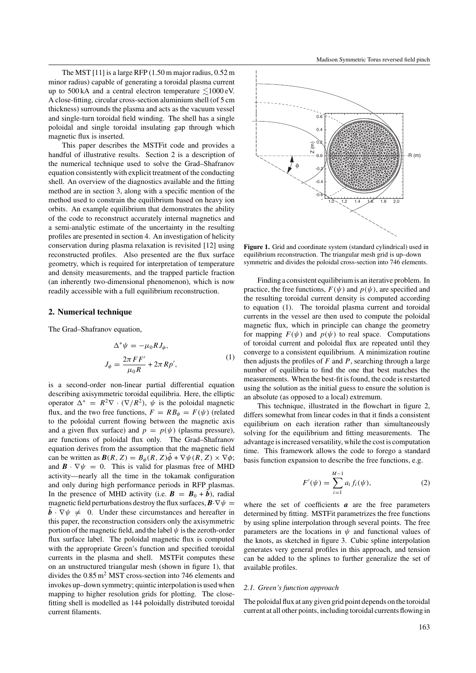The MST [11] is a large RFP (1.50 m major radius, 0.52 m minor radius) capable of generating a toroidal plasma current up to 500 kA and a central electron temperature  $\leq 1000$  eV. A close-fitting, circular cross-section aluminium shell (of 5 cm thickness) surrounds the plasma and acts as the vacuum vessel and single-turn toroidal field winding. The shell has a single poloidal and single toroidal insulating gap through which magnetic flux is inserted.

This paper describes the MSTFit code and provides a handful of illustrative results. Section 2 is a description of the numerical technique used to solve the Grad–Shafranov equation consistently with explicit treatment of the conducting shell. An overview of the diagnostics available and the fitting method are in section 3, along with a specific mention of the method used to constrain the equilibrium based on heavy ion orbits. An example equilibrium that demonstrates the ability of the code to reconstruct accurately internal magnetics and a semi-analytic estimate of the uncertainty in the resulting profiles are presented in section 4. An investigation of helicity conservation during plasma relaxation is revisited [12] using reconstructed profiles. Also presented are the flux surface geometry, which is required for interpretation of temperature and density measurements, and the trapped particle fraction (an inherently two-dimensional phenomenon), which is now readily accessible with a full equilibrium reconstruction.

## **2. Numerical technique**

The Grad–Shafranov equation,

$$
\Delta^* \psi = -\mu_0 R J_{\phi},
$$
  
\n
$$
J_{\phi} = \frac{2\pi FF'}{\mu_0 R} + 2\pi R p',
$$
\n(1)

is a second-order non-linear partial differential equation describing axisymmetric toroidal equilibria. Here, the elliptic operator  $\Delta^* = R^2 \nabla \cdot (\nabla/R^2)$ ,  $\psi$  is the poloidal magnetic flux, and the two free functions,  $F = RB_{\phi} = F(\psi)$  (related to the poloidal current flowing between the magnetic axis and a given flux surface) and  $p = p(\psi)$  (plasma pressure), are functions of poloidal flux only. The Grad–Shafranov equation derives from the assumption that the magnetic field can be written as  $\mathbf{B}(R, Z) = B_{\phi}(R, Z)\hat{\phi} + \nabla \psi(R, Z) \times \nabla \phi;$ and  $\mathbf{B} \cdot \nabla \psi = 0$ . This is valid for plasmas free of MHD activity—nearly all the time in the tokamak configuration and only during high performance periods in RFP plasmas. In the presence of MHD activity (i.e.  $\mathbf{B} = \mathbf{B}_0 + \mathbf{b}$ ), radial magnetic field perturbations destroy the flux surfaces,  $\mathbf{B} \cdot \nabla \psi =$  $$ this paper, the reconstruction considers only the axisymmetric portion of the magnetic field, and the label *ψ* is the zeroth-order flux surface label. The poloidal magnetic flux is computed with the appropriate Green's function and specified toroidal currents in the plasma and shell. MSTFit computes these on an unstructured triangular mesh (shown in figure 1), that divides the  $0.85 \text{ m}^2$  MST cross-section into 746 elements and invokes up–down symmetry; quintic interpolation is used when mapping to higher resolution grids for plotting. The closefitting shell is modelled as 144 poloidally distributed toroidal current filaments.



**Figure 1.** Grid and coordinate system (standard cylindrical) used in equilibrium reconstruction. The triangular mesh grid is up–down symmetric and divides the poloidal cross-section into 746 elements.

Finding a consistent equilibrium is an iterative problem. In practice, the free functions,  $F(\psi)$  and  $p(\psi)$ , are specified and the resulting toroidal current density is computed according to equation (1). The toroidal plasma current and toroidal currents in the vessel are then used to compute the poloidal magnetic flux, which in principle can change the geometry for mapping  $F(\psi)$  and  $p(\psi)$  to real space. Computations of toroidal current and poloidal flux are repeated until they converge to a consistent equilibrium. A minimization routine then adjusts the profiles of *F* and *P*, searching through a large number of equilibria to find the one that best matches the measurements. When the best-fit is found, the code is restarted using the solution as the initial guess to ensure the solution is an absolute (as opposed to a local) extremum.

This technique, illustrated in the flowchart in figure 2, differs somewhat from linear codes in that it finds a consistent equilibrium on each iteration rather than simultaneously solving for the equilibrium and fitting measurements. The advantage is increased versatility, while the cost is computation time. This framework allows the code to forego a standard basis function expansion to describe the free functions, e.g.

$$
F'(\psi) = \sum_{i=1}^{M-1} a_i f_i(\psi),
$$
 (2)

where the set of coefficients  $a$  are the free parameters determined by fitting. MSTFit parametrizes the free functions by using spline interpolation through several points. The free parameters are the locations in *ψ* and functional values of the knots, as sketched in figure 3. Cubic spline interpolation generates very general profiles in this approach, and tension can be added to the splines to further generalize the set of available profiles.

#### *2.1. Green's function approach*

The poloidal flux at any given grid point depends on the toroidal current at all other points, including toroidal currents flowing in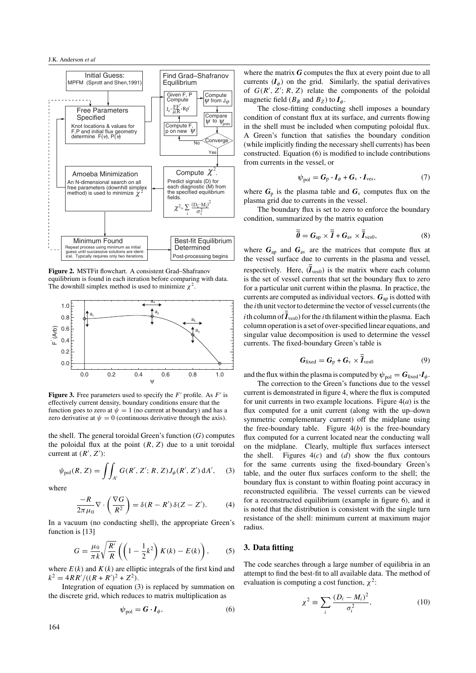

**Figure 2.** MSTFit flowchart. A consistent Grad–Shafranov equilibrium is found in each iteration before comparing with data. The downhill simplex method is used to minimize  $\chi^2$ .



**Figure 3.** Free parameters used to specify the  $F'$  profile. As  $F'$  is effectively current density, boundary conditions ensure that the function goes to zero at  $\psi = 1$  (no current at boundary) and has a zero derivative at  $\psi = 0$  (continuous derivative through the axis).

the shell. The general toroidal Green's function (*G*) computes the poloidal flux at the point  $(R, Z)$  due to a unit toroidal current at *(R , Z )*:

$$
\psi_{\text{pol}}(R, Z) = \iint_{A'} G(R', Z'; R, Z) J_{\phi}(R', Z') dA', \quad (3)
$$

where

$$
\frac{-R}{2\pi\mu_0}\nabla\cdot\left(\frac{\nabla G}{R^2}\right) = \delta(R - R')\,\delta(Z - Z').\tag{4}
$$

In a vacuum (no conducting shell), the appropriate Green's function is [13]

$$
G = \frac{\mu_0}{\pi k} \sqrt{\frac{R'}{R}} \left( \left( 1 - \frac{1}{2} k^2 \right) K(k) - E(k) \right), \quad (5)
$$

where  $E(k)$  and  $K(k)$  are elliptic integrals of the first kind and  $k^2 = 4RR'/(((R + R')^2 + Z^2)).$ 

Integration of equation (3) is replaced by summation on the discrete grid, which reduces to matrix multiplication as

$$
\psi_{\rm pol} = G \cdot I_{\phi},\tag{6}
$$

where the matrix *G* computes the flux at every point due to all currents  $(I_{\phi})$  on the grid. Similarly, the spatial derivatives of  $G(R', Z'; R, Z)$  relate the components of the poloidal magnetic field ( $B_R$  and  $B_Z$ ) to  $I_\phi$ .

The close-fitting conducting shell imposes a boundary condition of constant flux at its surface, and currents flowing in the shell must be included when computing poloidal flux. A Green's function that satisfies the boundary condition (while implicitly finding the necessary shell currents) has been constructed. Equation (6) is modified to include contributions from currents in the vessel, or

$$
\psi_{\text{pol}} = G_{\text{p}} \cdot I_{\phi} + G_{\text{v}} \cdot I_{\text{ves}},\tag{7}
$$

where  $G_p$  is the plasma table and  $G_v$  computes flux on the plasma grid due to currents in the vessel.

The boundary flux is set to zero to enforce the boundary condition, summarized by the matrix equation

$$
\overline{\overline{\theta}} = G_{\text{ap}} \times \overline{\overline{I}} + G_{\text{av}} \times \overline{\overline{I}}_{\text{ves0}},
$$
 (8)

where  $G_{ap}$  and  $G_{av}$  are the matrices that compute flux at the vessel surface due to currents in the plasma and vessel, respectively. Here,  $(\bar{I}_{\text{ves0}})$  is the matrix where each column is the set of vessel currents that set the boundary flux to zero for a particular unit current within the plasma. In practice, the currents are computed as individual vectors.  $G_{ap}$  is dotted with the *i*th unit vector to determine the vector of vessel currents (the *i*th column of  $\bar{\bar{I}}_{\text{veo}}$ ) for the *i*th filament within the plasma. Each column operation is a set of over-specified linear equations, and singular value decomposition is used to determine the vessel currents. The fixed-boundary Green's table is

$$
G_{\text{fixed}} = G_{\text{p}} + G_{\text{v}} \times \bar{\bar{I}}_{\text{ves0}} \tag{9}
$$

and the flux within the plasma is computed by  $\psi_{pol} = G_{fixed} \cdot I_{\phi}$ .

The correction to the Green's functions due to the vessel current is demonstrated in figure 4, where the flux is computed for unit currents in two example locations. Figure  $4(a)$  is the flux computed for a unit current (along with the up–down symmetric complementary current) off the midplane using the free-boundary table. Figure 4(*b*) is the free-boundary flux computed for a current located near the conducting wall on the midplane. Clearly, multiple flux surfaces intersect the shell. Figures  $4(c)$  and  $(d)$  show the flux contours for the same currents using the fixed-boundary Green's table, and the outer flux surfaces conform to the shell; the boundary flux is constant to within floating point accuracy in reconstructed equilibria. The vessel currents can be viewed for a reconstructed equilibrium (example in figure 6), and it is noted that the distribution is consistent with the single turn resistance of the shell: minimum current at maximum major radius.

## **3. Data fitting**

The code searches through a large number of equilibria in an attempt to find the best-fit to all available data. The method of evaluation is computing a cost function,  $\chi^2$ :

$$
\chi^2 \equiv \sum_i \frac{(D_i - M_i)^2}{\sigma_i^2},\tag{10}
$$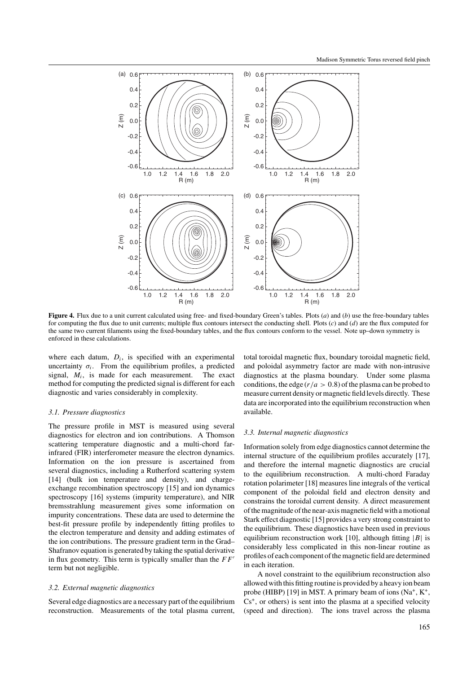

**Figure 4.** Flux due to a unit current calculated using free- and fixed-boundary Green's tables. Plots (*a*) and (*b*) use the free-boundary tables for computing the flux due to unit currents; multiple flux contours intersect the conducting shell. Plots (*c*) and (*d*) are the flux computed for the same two current filaments using the fixed-boundary tables, and the flux contours conform to the vessel. Note up–down symmetry is enforced in these calculations.

where each datum,  $D_i$ , is specified with an experimental uncertainty  $\sigma_i$ . From the equilibrium profiles, a predicted signal,  $M_i$ , is made for each measurement. The exact method for computing the predicted signal is different for each diagnostic and varies considerably in complexity.

#### *3.1. Pressure diagnostics*

The pressure profile in MST is measured using several diagnostics for electron and ion contributions. A Thomson scattering temperature diagnostic and a multi-chord farinfrared (FIR) interferometer measure the electron dynamics. Information on the ion pressure is ascertained from several diagnostics, including a Rutherford scattering system [14] (bulk ion temperature and density), and chargeexchange recombination spectroscopy [15] and ion dynamics spectroscopy [16] systems (impurity temperature), and NIR bremsstrahlung measurement gives some information on impurity concentrations. These data are used to determine the best-fit pressure profile by independently fitting profiles to the electron temperature and density and adding estimates of the ion contributions. The pressure gradient term in the Grad– Shafranov equation is generated by taking the spatial derivative in flux geometry. This term is typically smaller than the *F F* term but not negligible.

#### *3.2. External magnetic diagnostics*

Several edge diagnostics are a necessary part of the equilibrium reconstruction. Measurements of the total plasma current, total toroidal magnetic flux, boundary toroidal magnetic field, and poloidal asymmetry factor are made with non-intrusive diagnostics at the plasma boundary. Under some plasma conditions, the edge  $(r/a > 0.8)$  of the plasma can be probed to measure current density or magnetic field levels directly. These data are incorporated into the equilibrium reconstruction when available.

#### *3.3. Internal magnetic diagnostics*

Information solely from edge diagnostics cannot determine the internal structure of the equilibrium profiles accurately [17], and therefore the internal magnetic diagnostics are crucial to the equilibrium reconstruction. A multi-chord Faraday rotation polarimeter [18] measures line integrals of the vertical component of the poloidal field and electron density and constrains the toroidal current density. A direct measurement of the magnitude of the near-axis magnetic field with a motional Stark effect diagnostic [15] provides a very strong constraint to the equilibrium. These diagnostics have been used in previous equilibrium reconstruction work [10], although fitting |*B*| is considerably less complicated in this non-linear routine as profiles of each component of the magnetic field are determined in each iteration.

A novel constraint to the equilibrium reconstruction also allowed with this fitting routine is provided by a heavy ion beam probe (HIBP) [19] in MST. A primary beam of ions  $(Na^+, K^+,$  $Cs<sup>+</sup>$ , or others) is sent into the plasma at a specified velocity (speed and direction). The ions travel across the plasma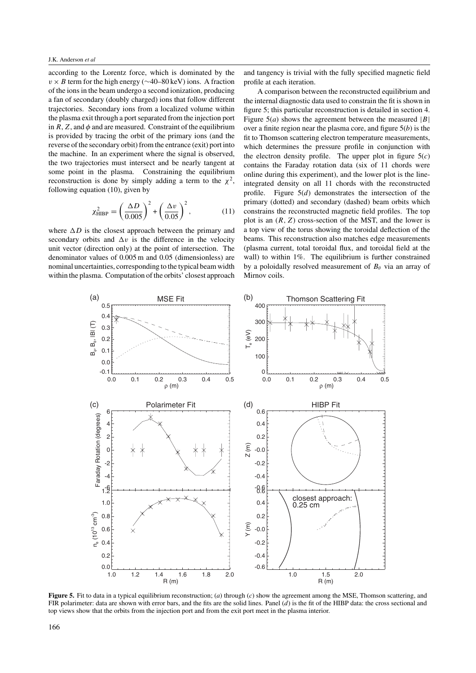according to the Lorentz force, which is dominated by the  $v \times B$  term for the high energy ( $\sim$ 40–80 keV) ions. A fraction of the ions in the beam undergo a second ionization, producing a fan of secondary (doubly charged) ions that follow different trajectories. Secondary ions from a localized volume within the plasma exit through a port separated from the injection port in  $R$ ,  $Z$ , and  $\phi$  and are measured. Constraint of the equilibrium is provided by tracing the orbit of the primary ions (and the reverse of the secondary orbit) from the entrance (exit) port into the machine. In an experiment where the signal is observed, the two trajectories must intersect and be nearly tangent at some point in the plasma. Constraining the equilibrium reconstruction is done by simply adding a term to the  $\chi^2$ , following equation (10), given by

$$
\chi^2_{\text{HIBP}} = \left(\frac{\Delta D}{0.005}\right)^2 + \left(\frac{\Delta v}{0.05}\right)^2,\tag{11}
$$

where  $\Delta D$  is the closest approach between the primary and secondary orbits and  $\Delta v$  is the difference in the velocity unit vector (direction only) at the point of intersection. The denominator values of 0.005 m and 0.05 (dimensionless) are nominal uncertainties, corresponding to the typical beam width within the plasma. Computation of the orbits' closest approach and tangency is trivial with the fully specified magnetic field profile at each iteration.

A comparison between the reconstructed equilibrium and the internal diagnostic data used to constrain the fit is shown in figure 5; this particular reconstruction is detailed in section 4. Figure  $5(a)$  shows the agreement between the measured  $|B|$ over a finite region near the plasma core, and figure 5(*b*) is the fit to Thomson scattering electron temperature measurements, which determines the pressure profile in conjunction with the electron density profile. The upper plot in figure  $5(c)$ contains the Faraday rotation data (six of 11 chords were online during this experiment), and the lower plot is the lineintegrated density on all 11 chords with the reconstructed profile. Figure 5(*d*) demonstrates the intersection of the primary (dotted) and secondary (dashed) beam orbits which constrains the reconstructed magnetic field profiles. The top plot is an  $(R, Z)$  cross-section of the MST, and the lower is a top view of the torus showing the toroidal deflection of the beams. This reconstruction also matches edge measurements (plasma current, total toroidal flux, and toroidal field at the wall) to within 1%. The equilibrium is further constrained by a poloidally resolved measurement of *Bθ* via an array of Mirnov coils.



**Figure 5.** Fit to data in a typical equilibrium reconstruction; (*a*) through (*c*) show the agreement among the MSE, Thomson scattering, and FIR polarimeter: data are shown with error bars, and the fits are the solid lines. Panel (*d*) is the fit of the HIBP data: the cross sectional and top views show that the orbits from the injection port and from the exit port meet in the plasma interior.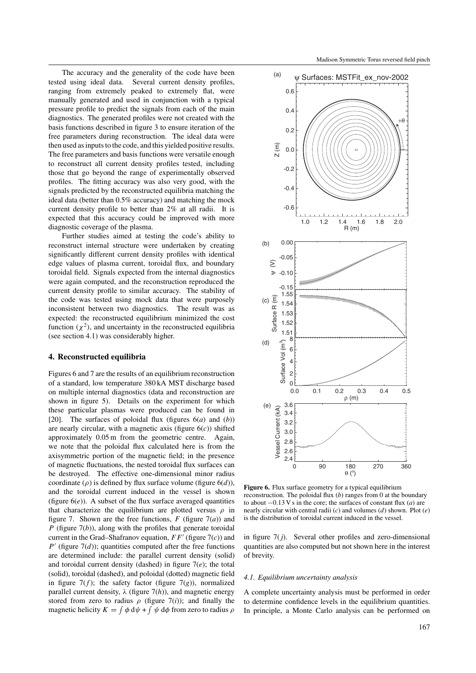The accuracy and the generality of the code have been tested using ideal data. Several current density profiles, ranging from extremely peaked to extremely flat, were manually generated and used in conjunction with a typical pressure profile to predict the signals from each of the main diagnostics. The generated profiles were not created with the basis functions described in figure 3 to ensure iteration of the free parameters during reconstruction. The ideal data were then used as inputs to the code, and this yielded positive results. The free parameters and basis functions were versatile enough to reconstruct all current density profiles tested, including those that go beyond the range of experimentally observed profiles. The fitting accuracy was also very good, with the signals predicted by the reconstructed equilibria matching the ideal data (better than 0.5% accuracy) and matching the mock current density profile to better than 2% at all radii. It is expected that this accuracy could be improved with more diagnostic coverage of the plasma.

Further studies aimed at testing the code's ability to reconstruct internal structure were undertaken by creating significantly different current density profiles with identical edge values of plasma current, toroidal flux, and boundary toroidal field. Signals expected from the internal diagnostics were again computed, and the reconstruction reproduced the current density profile to similar accuracy. The stability of the code was tested using mock data that were purposely inconsistent between two diagnostics. The result was as expected: the reconstructed equilibrium minimized the cost function  $(\chi^2)$ , and uncertainty in the reconstructed equilibria (see section 4.1) was considerably higher.

#### **4. Reconstructed equilibria**

Figures 6 and 7 are the results of an equilibrium reconstruction of a standard, low temperature 380 kA MST discharge based on multiple internal diagnostics (data and reconstruction are shown in figure 5). Details on the experiment for which these particular plasmas were produced can be found in [20]. The surfaces of poloidal flux (figures  $6(a)$  and  $(b)$ ) are nearly circular, with a magnetic axis (figure  $6(c)$ ) shifted approximately 0.05 m from the geometric centre. Again, we note that the poloidal flux calculated here is from the axisymmetric portion of the magnetic field; in the presence of magnetic fluctuations, the nested toroidal flux surfaces can be destroyed. The effective one-dimensional minor radius coordinate  $(\rho)$  is defined by flux surface volume (figure  $6(d)$ ), and the toroidal current induced in the vessel is shown (figure  $6(e)$ ). A subset of the flux surface averaged quantities that characterize the equilibrium are plotted versus *ρ* in figure 7. Shown are the free functions,  $F$  (figure  $7(a)$ ) and *P* (figure 7(*b*)), along with the profiles that generate toroidal current in the Grad–Shafranov equation,  $FF'$  (figure  $7(c)$ ) and  $P'$  (figure 7(*d*)); quantities computed after the free functions are determined include: the parallel current density (solid) and toroidal current density (dashed) in figure 7(*e*); the total (solid), toroidal (dashed), and poloidal (dotted) magnetic field in figure  $7(f)$ ; the safety factor (figure  $7(g)$ ), normalized parallel current density,  $\lambda$  (figure 7(*h*)), and magnetic energy stored from zero to radius  $\rho$  (figure 7(*i*)); and finally the magnetic helicity  $K = \int \phi \, d\psi + \int \psi \, d\phi$  from zero to radius  $\rho$ 



Figure 6. Flux surface geometry for a typical equilibrium reconstruction. The poloidal flux (*b*) ranges from 0 at the boundary to about −0.13 V s in the core; the surfaces of constant flux (*a*) are nearly circular with central radii (*c*) and volumes (*d*) shown. Plot (*e*) is the distribution of toroidal current induced in the vessel.

in figure  $7(j)$ . Several other profiles and zero-dimensional quantities are also computed but not shown here in the interest of brevity.

#### *4.1. Equilibrium uncertainty analysis*

A complete uncertainty analysis must be performed in order to determine confidence levels in the equilibrium quantities. In principle, a Monte Carlo analysis can be performed on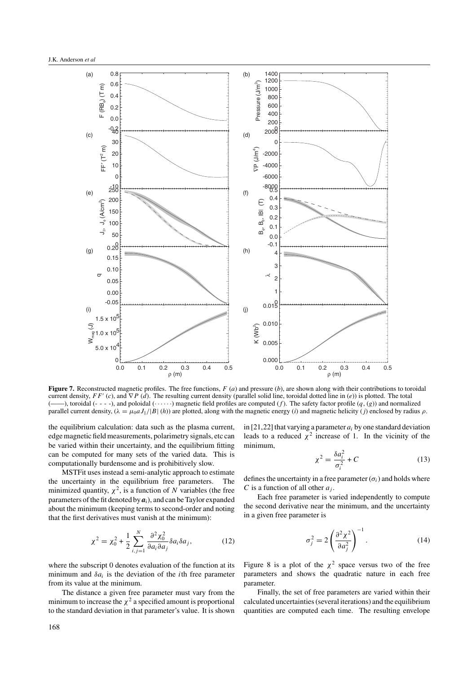

**Figure 7.** Reconstructed magnetic profiles. The free functions, *F* (*a*) and pressure (*b*), are shown along with their contributions to toroidal current density, *F F* (*c*), and ∇*P* (*d*). The resulting current density (parallel solid line, toroidal dotted line in (*e*)) is plotted. The total  $(-, +)$ , toroidal  $(-, -)$ , and poloidal  $(\cdots)$  magnetic field profiles are computed  $(f)$ . The safety factor profile  $(q, (g))$  and normalized parallel current density,  $(\lambda = \mu_0 a J_{\parallel}/|B| (h))$  are plotted, along with the magnetic energy (*i*) and magnetic helicity (*j*) enclosed by radius  $\rho$ .

the equilibrium calculation: data such as the plasma current, edge magnetic field measurements, polarimetry signals, etc can be varied within their uncertainty, and the equilibrium fitting can be computed for many sets of the varied data. This is computationally burdensome and is prohibitively slow.

MSTFit uses instead a semi-analytic approach to estimate the uncertainty in the equilibrium free parameters. The minimized quantity,  $\chi^2$ , is a function of *N* variables (the free parameters of the fit denoted by  $a_i$ ), and can be Taylor expanded about the minimum (keeping terms to second-order and noting that the first derivatives must vanish at the minimum):

$$
\chi^2 = \chi_0^2 + \frac{1}{2} \sum_{i,j=1}^N \frac{\partial^2 \chi_0^2}{\partial a_i \partial a_j} \delta a_i \delta a_j,\tag{12}
$$

where the subscript 0 denotes evaluation of the function at its minimum and  $\delta a_i$  is the deviation of the *i*th free parameter from its value at the minimum.

The distance a given free parameter must vary from the minimum to increase the  $\chi^2$  a specified amount is proportional to the standard deviation in that parameter's value. It is shown in  $[21,22]$  that varying a parameter  $a_i$  by one standard deviation leads to a reduced  $\chi^2$  increase of 1. In the vicinity of the minimum,

$$
\chi^2 = \frac{\delta a_i^2}{\sigma_i^2} + C \tag{13}
$$

defines the uncertainty in a free parameter  $(\sigma_i)$  and holds where *C* is a function of all other  $a_i$ .

Each free parameter is varied independently to compute the second derivative near the minimum, and the uncertainty in a given free parameter is

$$
\sigma_j^2 = 2 \left( \frac{\partial^2 \chi^2}{\partial a_j^2} \right)^{-1} . \tag{14}
$$

Figure 8 is a plot of the  $\chi^2$  space versus two of the free parameters and shows the quadratic nature in each free parameter.

Finally, the set of free parameters are varied within their calculated uncertainties (several iterations) and the equilibrium quantities are computed each time. The resulting envelope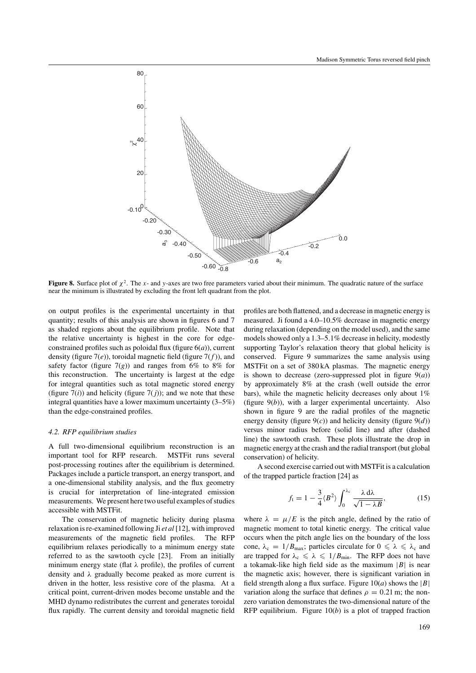![](_page_7_Figure_1.jpeg)

**Figure 8.** Surface plot of  $\chi^2$ . The *x*- and *y*-axes are two free parameters varied about their minimum. The quadratic nature of the surface near the minimum is illustrated by excluding the front left quadrant from the plot.

on output profiles is the experimental uncertainty in that quantity; results of this analysis are shown in figures 6 and 7 as shaded regions about the equilibrium profile. Note that the relative uncertainty is highest in the core for edgeconstrained profiles such as poloidal flux (figure 6(*a*)), current density (figure  $7(e)$ ), toroidal magnetic field (figure  $7(f)$ ), and safety factor (figure  $7(g)$ ) and ranges from 6% to 8% for this reconstruction. The uncertainty is largest at the edge for integral quantities such as total magnetic stored energy (figure  $7(i)$ ) and helicity (figure  $7(j)$ ); and we note that these integral quantities have a lower maximum uncertainty (3–5%) than the edge-constrained profiles.

#### *4.2. RFP equilibrium studies*

A full two-dimensional equilibrium reconstruction is an important tool for RFP research. MSTFit runs several post-processing routines after the equilibrium is determined. Packages include a particle transport, an energy transport, and a one-dimensional stability analysis, and the flux geometry is crucial for interpretation of line-integrated emission measurements. We present here two useful examples of studies accessible with MSTFit.

The conservation of magnetic helicity during plasma relaxation is re-examined following Ji *et al* [12], with improved measurements of the magnetic field profiles. The RFP equilibrium relaxes periodically to a minimum energy state referred to as the sawtooth cycle [23]. From an initially minimum energy state (flat *λ* profile), the profiles of current density and *λ* gradually become peaked as more current is driven in the hotter, less resistive core of the plasma. At a critical point, current-driven modes become unstable and the MHD dynamo redistributes the current and generates toroidal flux rapidly. The current density and toroidal magnetic field

profiles are both flattened, and a decrease in magnetic energy is measured. Ji found a 4.0–10.5% decrease in magnetic energy during relaxation (depending on the model used), and the same models showed only a 1.3–5.1% decrease in helicity, modestly supporting Taylor's relaxation theory that global helicity is conserved. Figure 9 summarizes the same analysis using MSTFit on a set of 380 kA plasmas. The magnetic energy is shown to decrease (zero-suppressed plot in figure  $9(a)$ ) by approximately 8% at the crash (well outside the error bars), while the magnetic helicity decreases only about 1% (figure 9(*b*)), with a larger experimental uncertainty. Also shown in figure 9 are the radial profiles of the magnetic energy density (figure  $9(c)$ ) and helicity density (figure  $9(d)$ ) versus minor radius before (solid line) and after (dashed line) the sawtooth crash. These plots illustrate the drop in magnetic energy at the crash and the radial transport (but global conservation) of helicity.

A second exercise carried out with MSTFit is a calculation of the trapped particle fraction [24] as

$$
f_{\rm t} = 1 - \frac{3}{4} \langle B^2 \rangle \int_0^{\lambda_{\rm c}} \frac{\lambda \, \mathrm{d}\lambda}{\sqrt{1 - \lambda B}},\tag{15}
$$

where  $\lambda = \mu/E$  is the pitch angle, defined by the ratio of magnetic moment to total kinetic energy. The critical value occurs when the pitch angle lies on the boundary of the loss cone,  $\lambda_c = 1/B_{\text{max}}$ ; particles circulate for  $0 \le \lambda \le \lambda_c$  and are trapped for  $\lambda_c \leq \lambda \leq 1/B_{min}$ . The RFP does not have a tokamak-like high field side as the maximum |*B*| is near the magnetic axis; however, there is significant variation in field strength along a flux surface. Figure  $10(a)$  shows the  $|B|$ variation along the surface that defines  $\rho = 0.21$  m; the nonzero variation demonstrates the two-dimensional nature of the RFP equilibrium. Figure 10(*b*) is a plot of trapped fraction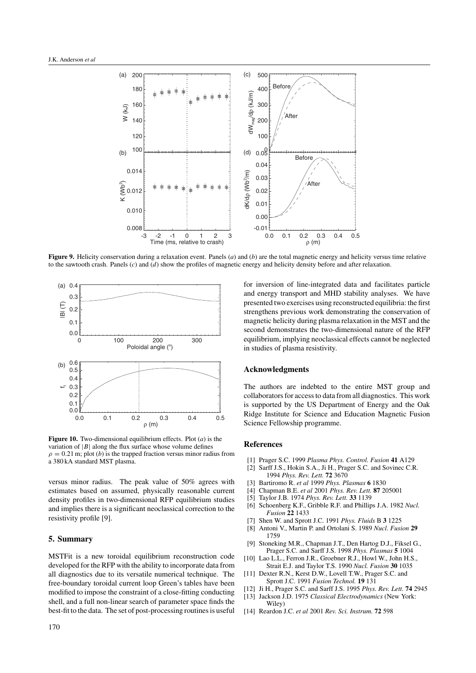![](_page_8_Figure_1.jpeg)

**Figure 9.** Helicity conservation during a relaxation event. Panels (*a*) and (*b*) are the total magnetic energy and helicity versus time relative to the sawtooth crash. Panels (*c*) and (*d*) show the profiles of magnetic energy and helicity density before and after relaxation.

![](_page_8_Figure_3.jpeg)

**Figure 10.** Two-dimensional equilibrium effects. Plot (*a*) is the variation of  $|B|$  along the flux surface whose volume defines  $\rho = 0.21$  m; plot (*b*) is the trapped fraction versus minor radius from a 380 kA standard MST plasma.

versus minor radius. The peak value of 50% agrees with estimates based on assumed, physically reasonable current density profiles in two-dimensional RFP equilibrium studies and implies there is a significant neoclassical correction to the resistivity profile [9].

## **5. Summary**

MSTFit is a new toroidal equilibrium reconstruction code developed for the RFP with the ability to incorporate data from all diagnostics due to its versatile numerical technique. The free-boundary toroidal current loop Green's tables have been modified to impose the constraint of a close-fitting conducting shell, and a full non-linear search of parameter space finds the best-fit to the data. The set of post-processing routines is useful

for inversion of line-integrated data and facilitates particle and energy transport and MHD stability analyses. We have presented two exercises using reconstructed equilibria: the first strengthens previous work demonstrating the conservation of magnetic helicity during plasma relaxation in the MST and the second demonstrates the two-dimensional nature of the RFP equilibrium, implying neoclassical effects cannot be neglected in studies of plasma resistivity.

## **Acknowledgments**

The authors are indebted to the entire MST group and collaborators for access to data from all diagnostics. This work is supported by the US Department of Energy and the Oak Ridge Institute for Science and Education Magnetic Fusion Science Fellowship programme.

#### **References**

- [1] Prager S.C. 1999 *Plasma Phys. Control. Fusion* **41** A129
- [2] Sarff J.S., Hokin S.A., Ji H., Prager S.C. and Sovinec C.R. 1994 *Phys. Rev. Lett.* **72** 3670
- [3] Bartiromo R. *et al* 1999 *Phys. Plasmas* **6** 1830
- [4] Chapman B.E. *et al* 2001 *Phys. Rev. Lett.* **87** 205001
- [5] Taylor J.B. 1974 *Phys. Rev. Lett.* **33** 1139
- [6] Schoenberg K.F., Gribble R.F. and Phillips J.A. 1982 *Nucl. Fusion* **22** 1433
- [7] Shen W. and Sprott J.C. 1991 *Phys. Fluids* B **3** 1225
- [8] Antoni V., Martin P. and Ortolani S. 1989 *Nucl. Fusion* **29** 1759
- [9] Stoneking M.R., Chapman J.T., Den Hartog D.J., Fiksel G., Prager S.C. and Sarff J.S. 1998 *Phys. Plasmas* **5** 1004
- [10] Lao L.L., Ferron J.R., Groebner R.J., Howl W., John H.S., Strait E.J. and Taylor T.S. 1990 *Nucl. Fusion* **30** 1035
- [11] Dexter R.N., Kerst D.W., Lovell T.W., Prager S.C. and Sprott J.C. 1991 *Fusion Technol.* **19** 131
- [12] Ji H., Prager S.C. and Sarff J.S. 1995 *Phys. Rev. Lett.* **74** 2945
- [13] Jackson J.D. 1975 *Classical Electrodynamics* (New York: Wiley)
- [14] Reardon J.C. *et al* 2001 *Rev. Sci. Instrum.* **72** 598